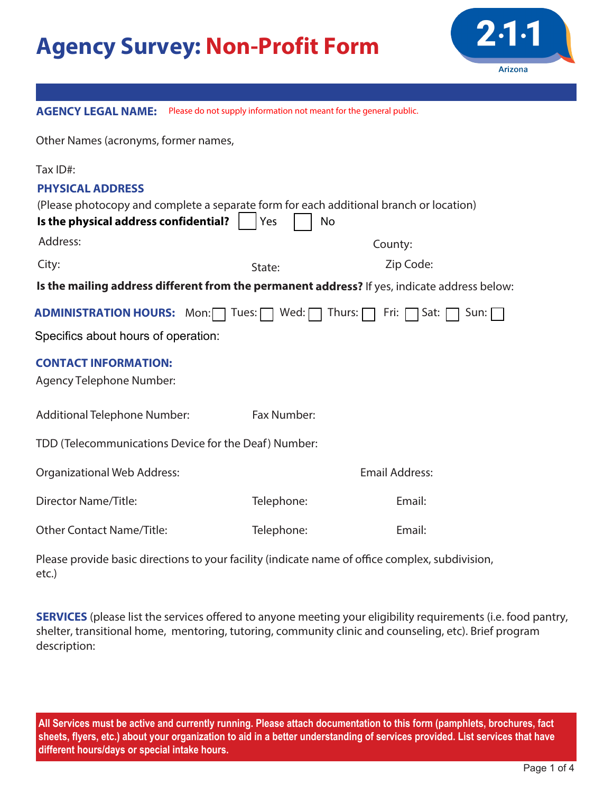## **Agency Survey: Non-Profit Form**



| <b>AGENCY LEGAL NAME:</b> Please do not supply information not meant for the general public. |                                                                     |                                                                                              |  |  |  |  |  |  |
|----------------------------------------------------------------------------------------------|---------------------------------------------------------------------|----------------------------------------------------------------------------------------------|--|--|--|--|--|--|
| Other Names (acronyms, former names,                                                         |                                                                     |                                                                                              |  |  |  |  |  |  |
| Tax ID#:                                                                                     |                                                                     |                                                                                              |  |  |  |  |  |  |
| <b>PHYSICAL ADDRESS</b>                                                                      |                                                                     |                                                                                              |  |  |  |  |  |  |
| Is the physical address confidential?                                                        | Yes                                                                 | (Please photocopy and complete a separate form for each additional branch or location)<br>No |  |  |  |  |  |  |
|                                                                                              |                                                                     |                                                                                              |  |  |  |  |  |  |
| Address:                                                                                     |                                                                     | County:                                                                                      |  |  |  |  |  |  |
| City:                                                                                        | State:                                                              | Zip Code:                                                                                    |  |  |  |  |  |  |
|                                                                                              |                                                                     | Is the mailing address different from the permanent address? If yes, indicate address below: |  |  |  |  |  |  |
|                                                                                              | <b>ADMINISTRATION HOURS:</b> Mon: Tues: Wed: Thurs: T Fri: T Sat: [ | Sum:                                                                                         |  |  |  |  |  |  |
| Specifics about hours of operation:                                                          |                                                                     |                                                                                              |  |  |  |  |  |  |
| <b>CONTACT INFORMATION:</b>                                                                  |                                                                     |                                                                                              |  |  |  |  |  |  |
| Agency Telephone Number:                                                                     |                                                                     |                                                                                              |  |  |  |  |  |  |
| <b>Additional Telephone Number:</b>                                                          | Fax Number:                                                         |                                                                                              |  |  |  |  |  |  |
|                                                                                              |                                                                     |                                                                                              |  |  |  |  |  |  |
|                                                                                              | TDD (Telecommunications Device for the Deaf) Number:                |                                                                                              |  |  |  |  |  |  |
| <b>Organizational Web Address:</b>                                                           |                                                                     | <b>Email Address:</b>                                                                        |  |  |  |  |  |  |
| <b>Director Name/Title:</b>                                                                  | Telephone:                                                          | Email:                                                                                       |  |  |  |  |  |  |
| <b>Other Contact Name/Title:</b>                                                             | Telephone:                                                          | Email:                                                                                       |  |  |  |  |  |  |
|                                                                                              |                                                                     |                                                                                              |  |  |  |  |  |  |

Please provide basic directions to your facility (indicate name of office complex, subdivision, etc.)

**SERVICES** (please list the services offered to anyone meeting your eligibility requirements (i.e. food pantry, shelter, transitional home, mentoring, tutoring, community clinic and counseling, etc). Brief program description:

**All Services must be active and currently running. Please attach documentation to this form (pamphlets, brochures, fact sheets, flyers, etc.) about your organization to aid in a better understanding of services provided. List services that have different hours/days or special intake hours.**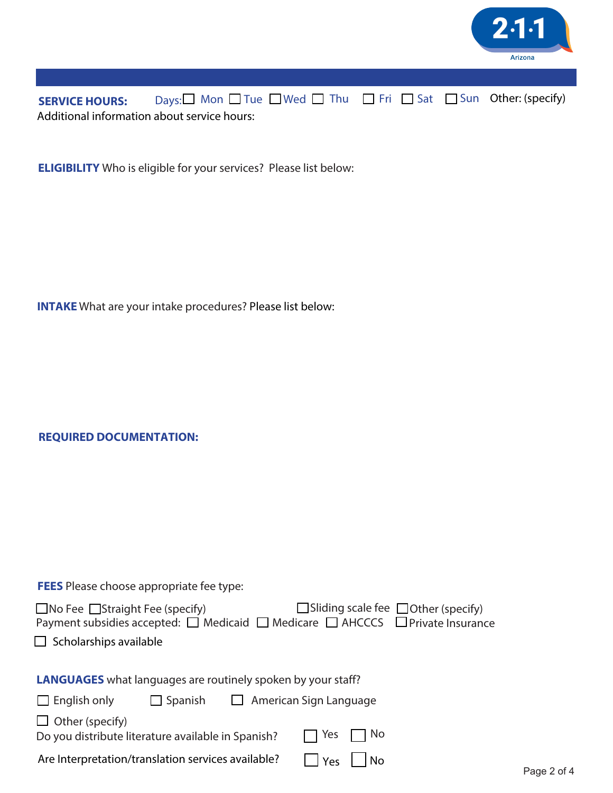

SERVICE HOURS: Days:□ Mon □ Tue □ Wed □ Thu □ Fri □ Sat □ Sun Other: (specify) Additional information about service hours:

**ELIGIBILITY** Who is eligible for your services? Please list below:

**INTAKE** What are your intake procedures? Please list below:

**REQUIRED DOCUMENTATION:**

| $\Box$ Sliding scale fee $\Box$ Other (specify)<br>$\Box$ No Fee $\Box$ Straight Fee (specify)<br>Payment subsidies accepted: □ Medicaid □ Medicare □ AHCCCS □ Private Insurance<br>Scholarships available |                |                               |     |  |  |  |  |
|------------------------------------------------------------------------------------------------------------------------------------------------------------------------------------------------------------|----------------|-------------------------------|-----|--|--|--|--|
| <b>LANGUAGES</b> what languages are routinely spoken by your staff?                                                                                                                                        |                |                               |     |  |  |  |  |
| $\Box$ English only                                                                                                                                                                                        | $\Box$ Spanish | $\Box$ American Sign Language |     |  |  |  |  |
| $\Box$ Other (specify)<br>Do you distribute literature available in Spanish?                                                                                                                               |                | Yes                           | No. |  |  |  |  |
| Are Interpretation/translation services available?                                                                                                                                                         |                | Yes                           | No  |  |  |  |  |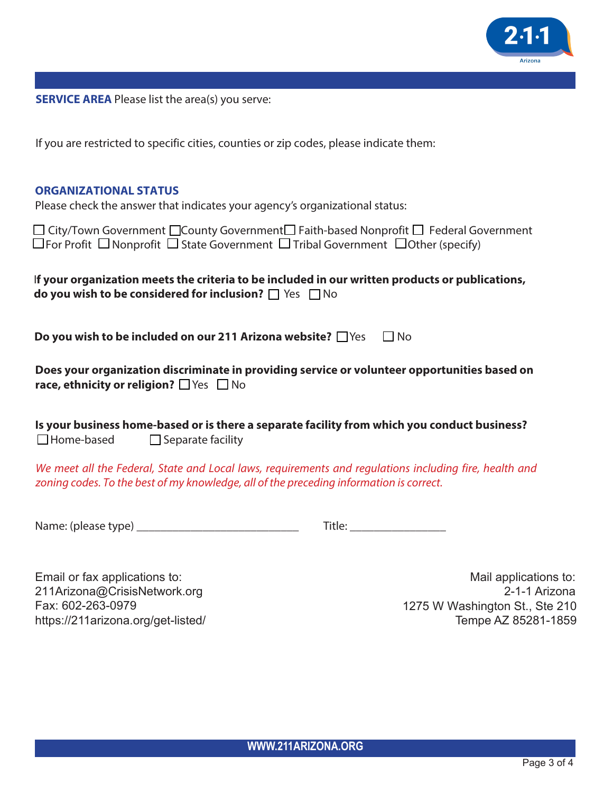

**SERVICE AREA** Please list the area(s) you serve:

If you are restricted to specific cities, counties or zip codes, please indicate them:

## **ORGANIZATIONAL STATUS**

Please check the answer that indicates your agency's organizational status:

| $\Box$ City/Town Government $\Box$ County Government $\Box$ Faith-based Nonprofit $\Box$ Federal Government |  |
|-------------------------------------------------------------------------------------------------------------|--|
| $\Box$ For Profit $\Box$ Nonprofit $\Box$ State Government $\Box$ Tribal Government $\Box$ Other (specify)  |  |

| If your organization meets the criteria to be included in our written products or publications, |  |
|-------------------------------------------------------------------------------------------------|--|
| <b>do you wish to be considered for inclusion?</b> $\Box$ Yes $\Box$ No                         |  |

**Do you wish to be included on our 211 Arizona website?** Nes  $\Box$  No

| Does your organization discriminate in providing service or volunteer opportunities based on |
|----------------------------------------------------------------------------------------------|
| race, ethnicity or religion? $\Box$ Yes $\Box$ No                                            |

|                   | Is your business home-based or is there a separate facility from which you conduct business? |  |
|-------------------|----------------------------------------------------------------------------------------------|--|
| $\Box$ Home-based | $\Box$ Separate facility                                                                     |  |

We meet all the Federal, State and Local laws, requirements and regulations including fire, health and zoning codes. To the best of my knowledge, all of the preceding information is correct.

Name: (please type) \_\_\_\_\_\_\_\_\_\_\_\_\_\_\_\_\_\_\_\_\_\_\_\_\_\_\_

| - 下江山 -<br>۱+۱۵۰<br>$\sim$<br>$\sim$ |
|--------------------------------------|
|--------------------------------------|

Email or fax applications to: 211Arizona@CrisisNetwork.org Fax: 602-263-0979 https://211arizona.org/get-listed/

Mail applications to: 2-1-1 Arizona 1275 W Washington St., Ste 210 Tempe AZ 85281-1859